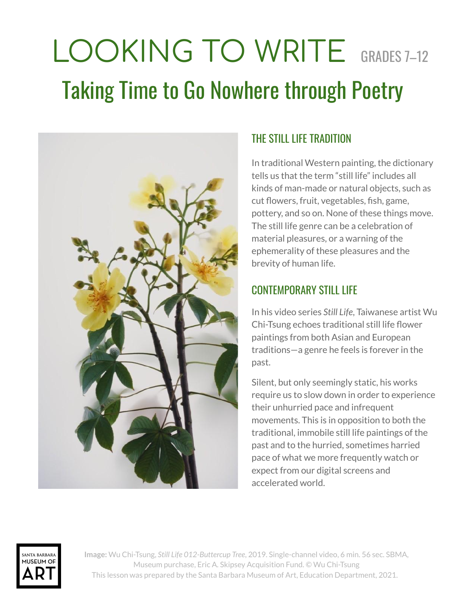# LOOKING TO WRITE GRADES 7-12 Taking Time to Go Nowhere through Poetry



### THE STILL LIFE TRADITION

In traditional Western painting, the dictionary tells us that the term "still life" includes all kinds of man-made or natural objects, such as cut flowers, fruit, vegetables, fish, game, pottery, and so on. None of these things move. The still life genre can be a celebration of material pleasures, or a warning of the ephemerality of these pleasures and the brevity of human life.

#### CONTEMPORARY STILL LIFE

In his video series *Still Life*, Taiwanese artist Wu Chi-Tsung echoes traditional still life flower paintings from both Asian and European traditions—a genre he feels is forever in the past.

Silent, but only seemingly static, his works require us to slow down in order to experience their unhurried pace and infrequent movements. This is in opposition to both the traditional, immobile still life paintings of the past and to the hurried, sometimes harried pace of what we more frequently watch or expect from our digital screens and accelerated world.



**Image:** Wu Chi-Tsung, *Still Life 012-Buttercup Tree*, 2019. Single-channel video, 6 min. 56 sec. SBMA, Museum purchase, Eric A. Skipsey Acquisition Fund. © Wu Chi-Tsung This lesson was prepared by the Santa Barbara Museum of Art, Education Department, 2021.